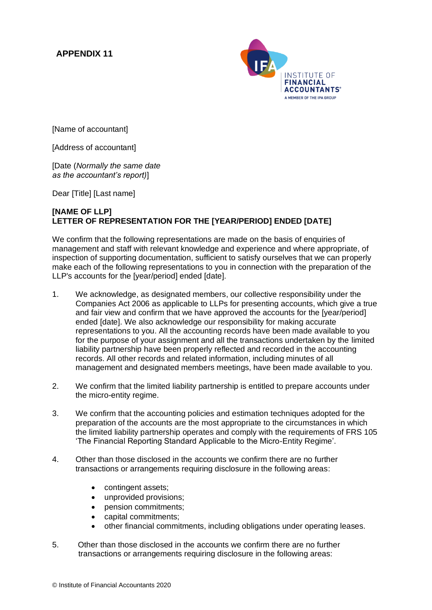## **APPENDIX 11**



[Name of accountant]

[Address of accountant]

[Date (*Normally the same date as the accountant's report)*]

Dear [Title] [Last name]

## **[NAME OF LLP] LETTER OF REPRESENTATION FOR THE [YEAR/PERIOD] ENDED [DATE]**

We confirm that the following representations are made on the basis of enquiries of management and staff with relevant knowledge and experience and where appropriate, of inspection of supporting documentation, sufficient to satisfy ourselves that we can properly make each of the following representations to you in connection with the preparation of the LLP's accounts for the [year/period] ended [date].

- 1. We acknowledge, as designated members, our collective responsibility under the Companies Act 2006 as applicable to LLPs for presenting accounts, which give a true and fair view and confirm that we have approved the accounts for the [year/period] ended [date]. We also acknowledge our responsibility for making accurate representations to you. All the accounting records have been made available to you for the purpose of your assignment and all the transactions undertaken by the limited liability partnership have been properly reflected and recorded in the accounting records. All other records and related information, including minutes of all management and designated members meetings, have been made available to you.
- 2. We confirm that the limited liability partnership is entitled to prepare accounts under the micro-entity regime.
- 3. We confirm that the accounting policies and estimation techniques adopted for the preparation of the accounts are the most appropriate to the circumstances in which the limited liability partnership operates and comply with the requirements of FRS 105 'The Financial Reporting Standard Applicable to the Micro-Entity Regime'.
- 4. Other than those disclosed in the accounts we confirm there are no further transactions or arrangements requiring disclosure in the following areas:
	- contingent assets;
	- unprovided provisions;
	- pension commitments;
	- capital commitments;
	- other financial commitments, including obligations under operating leases.
- 5. Other than those disclosed in the accounts we confirm there are no further transactions or arrangements requiring disclosure in the following areas: